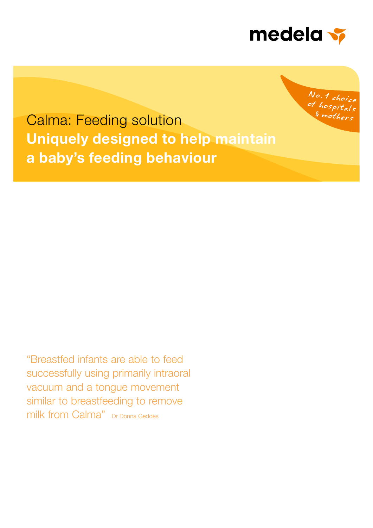

No. 1 choice <sup>of</sup> hospitals mother.

Calma: Feeding solution Uniquely designed to help maintain a baby's feeding behaviour

"Breastfed infants are able to feed successfully using primarily intraoral vacuum and a tongue movement similar to breastfeeding to remove milk from Calma" Dr Donna Geddes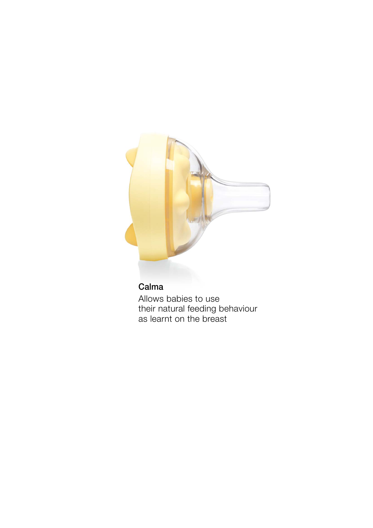

## Calma

Allows babies to use their natural feeding behaviour as learnt on the breast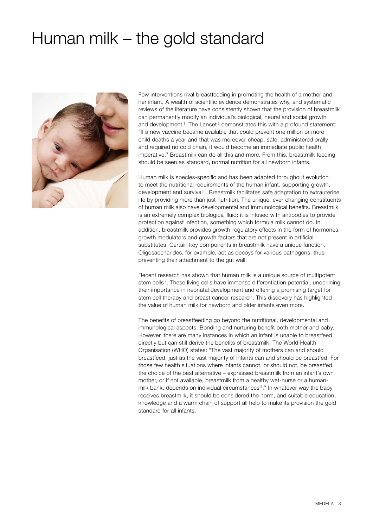# Human milk – the gold standard



Few interventions rival breastfeeding in promoting the health of a mother and her infant. A wealth of scientific evidence demonstrates why, and systematic reviews of the literature have consistently shown that the provision of breastmilk can permanently modify an individual's biological, neural and social growth and development<sup>1</sup>. The Lancet<sup>2</sup> demonstrates this with a profound statement: "If a new vaccine became available that could prevent one million or more child deaths a year and that was moreover cheap, safe, administered orally and required no cold chain, it would become an immediate public health imperative." Breastmilk can do all this and more. From this, breastmilk feeding should be seen as standard, normal nutrition for all newborn infants.

Human milk is species-specific and has been adapted throughout evolution to meet the nutritional requirements of the human infant, supporting growth, development and survival<sup>3</sup>. Breastmilk facilitates safe adaptation to extrauterine life by providing more than just nutrition. The unique, ever-changing constituents of human milk also have developmental and immunological benefits. Breastmilk is an extremely complex biological fluid: it is infused with antibodies to provide protection against infection, something which formula milk cannot do. In addition, breastmilk provides growth-regulatory effects in the form of hormones, growth modulators and growth factors that are not present in artificial substitutes. Certain key components in breastmilk have a unique function. Oligosaccharides, for example, act as decoys for various pathogens, thus preventing their attachment to the gut wall.

Recent research has shown that human milk is a unique source of multipotent stem cells 4. These living cells have immense differentiation potential, underlining their importance in neonatal development and offering a promising target for stem cell therapy and breast cancer research. This discovery has highlighted the value of human milk for newborn and older infants even more.

The benefits of breastfeeding go beyond the nutritional, developmental and immunological aspects. Bonding and nurturing benefit both mother and baby. However, there are many instances in which an infant is unable to breastfeed directly but can still derive the benefits of breastmilk. The World Health Organisation (WHO) states: "The vast majority of mothers can and should breastfeed, just as the vast majority of infants can and should be breastfed. For those few health situations where infants cannot, or should not, be breastfed, the choice of the best alternative – expressed breastmilk from an infant's own mother, or if not available, breastmilk from a healthy wet-nurse or a humanmilk bank, depends on individual circumstances<sup>5</sup>." In whatever way the baby receives breastmilk, it should be considered the norm, and suitable education, knowledge and a warm chain of support all help to make its provision the gold standard for all infants.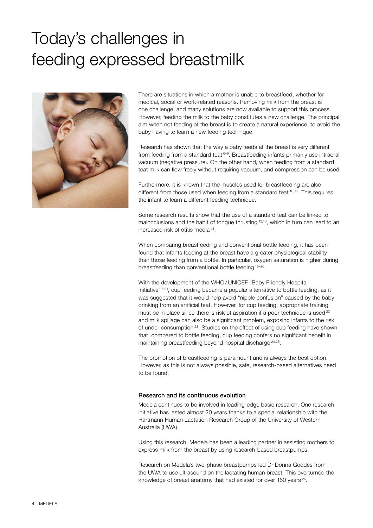# Today's challenges in feeding expressed breastmilk



There are situations in which a mother is unable to breastfeed, whether for medical, social or work-related reasons. Removing milk from the breast is one challenge, and many solutions are now available to support this process. However, feeding the milk to the baby constitutes a new challenge. The principal aim when not feeding at the breast is to create a natural experience, to avoid the baby having to learn a new feeding technique.

Research has shown that the way a baby feeds at the breast is very different from feeding from a standard teat  $6-9$ . Breastfeeding infants primarily use intraoral vacuum (negative pressure). On the other hand, when feeding from a standard teat milk can flow freely without requiring vacuum, and compression can be used.

Furthermore, it is known that the muscles used for breastfeeding are also different from those used when feeding from a standard teat <sup>10,11</sup>. This requires the infant to learn a different feeding technique.

Some research results show that the use of a standard teat can be linked to malocclusions and the habit of tongue thrusting <sup>12,13</sup>, which in turn can lead to an increased risk of otitis media 14.

When comparing breastfeeding and conventional bottle feeding, it has been found that infants feeding at the breast have a greater physiological stability than those feeding from a bottle. In particular, oxygen saturation is higher during breastfeeding than conventional bottle feeding 15–20.

With the development of the WHO /UNICEF "Baby Friendly Hospital Initiative" 5,21, cup feeding became a popular alternative to bottle feeding, as it was suggested that it would help avoid "nipple confusion" caused by the baby drinking from an artificial teat. However, for cup feeding, appropriate training must be in place since there is risk of aspiration if a poor technique is used <sup>22</sup> and milk spillage can also be a significant problem, exposing infants to the risk of under consumption 23. Studies on the effect of using cup feeding have shown that, compared to bottle feeding, cup feeding confers no significant benefit in maintaining breastfeeding beyond hospital discharge 24,25.

The promotion of breastfeeding is paramount and is always the best option. However, as this is not always possible, safe, research-based alternatives need to be found.

### Research and its continuous evolution

Medela continues to be involved in leading-edge basic research. One research initiative has lasted almost 20 years thanks to a special relationship with the Hartmann Human Lactation Research Group of the University of Western Australia (UWA).

Using this research, Medela has been a leading partner in assisting mothers to express milk from the breast by using research-based breastpumps.

Research on Medela's two-phase breastpumps led Dr Donna Geddes from the UWA to use ultrasound on the lactating human breast. This overturned the knowledge of breast anatomy that had existed for over 160 years <sup>26</sup>.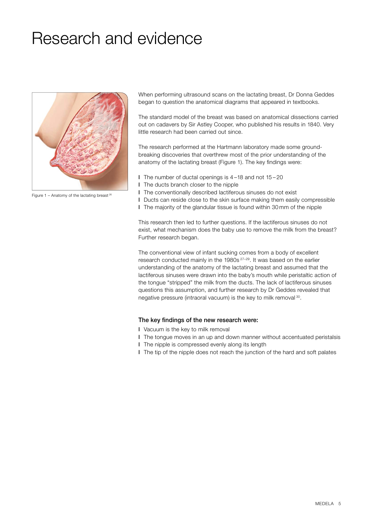# Research and evidence



Figure 1 – Anatomy of the lactating breast  $26$ 

When performing ultrasound scans on the lactating breast, Dr Donna Geddes began to question the anatomical diagrams that appeared in textbooks.

The standard model of the breast was based on anatomical dissections carried out on cadavers by Sir Astley Cooper, who published his results in 1840. Very little research had been carried out since.

The research performed at the Hartmann laboratory made some groundbreaking discoveries that overthrew most of the prior understanding of the anatomy of the lactating breast (Figure 1). The key findings were:

- l The number of ductal openings is 4 –18 and not 15 20
- l The ducts branch closer to the nipple
- l The conventionally described lactiferous sinuses do not exist
- l Ducts can reside close to the skin surface making them easily compressible
- l The majority of the glandular tissue is found within 30 mm of the nipple

This research then led to further questions. If the lactiferous sinuses do not exist, what mechanism does the baby use to remove the milk from the breast? Further research began.

The conventional view of infant sucking comes from a body of excellent research conducted mainly in the 1980s 27–29. It was based on the earlier understanding of the anatomy of the lactating breast and assumed that the lactiferous sinuses were drawn into the baby's mouth while peristaltic action of the tongue "stripped" the milk from the ducts. The lack of lactiferous sinuses questions this assumption, and further research by Dr Geddes revealed that negative pressure (intraoral vacuum) is the key to milk removal 30.

### The key findings of the new research were:

- l Vacuum is the key to milk removal
- l The tongue moves in an up and down manner without accentuated peristalsis
- l The nipple is compressed evenly along its length
- l The tip of the nipple does not reach the junction of the hard and soft palates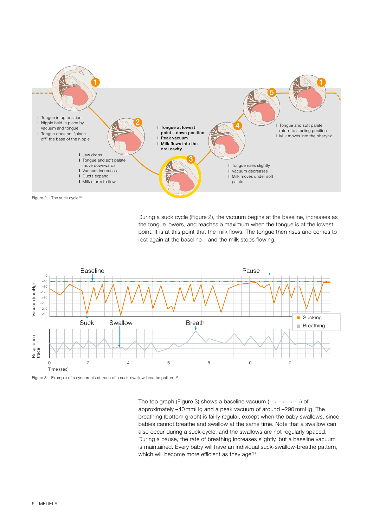

During a suck cycle (Figure 2), the vacuum begins at the baseline, increases as the tongue lowers, and reaches a maximum when the tongue is at the lowest point. It is at this point that the milk flows. The tongue then rises and comes to rest again at the baseline – and the milk stops flowing.



Figure 3 – Example of a synchronised trace of a suck-swallow-breathe pattern <sup>31</sup>

The top graph (Figure 3) shows a baseline vacuum  $(- \cdot - \cdot - \cdot)$  of approximately –40 mmHg and a peak vacuum of around –290 mmHg. The breathing (bottom graph) is fairly regular, except when the baby swallows, since babies cannot breathe and swallow at the same time. Note that a swallow can also occur during a suck cycle, and the swallows are not regularly spaced. During a pause, the rate of breathing increases slightly, but a baseline vacuum is maintained. Every baby will have an individual suck-swallow-breathe pattern, which will become more efficient as they age 31.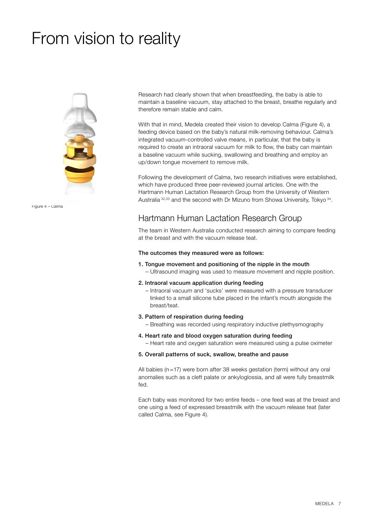# From vision to reality



Figure 4 – Calma

Research had clearly shown that when breastfeeding, the baby is able to maintain a baseline vacuum, stay attached to the breast, breathe regularly and therefore remain stable and calm.

With that in mind, Medela created their vision to develop Calma (Figure 4), a feeding device based on the baby's natural milk-removing behaviour. Calma's integrated vacuum-controlled valve means, in particular, that the baby is required to create an intraoral vacuum for milk to flow, the baby can maintain a baseline vacuum while sucking, swallowing and breathing and employ an up/down tongue movement to remove milk.

Following the development of Calma, two research initiatives were established, which have produced three peer-reviewed journal articles. One with the Hartmann Human Lactation Research Group from the University of Western Australia 32,33 and the second with Dr Mizuno from Showa University, Tokyo 34.

## Hartmann Human Lactation Research Group

The team in Western Australia conducted research aiming to compare feeding at the breast and with the vacuum release teat.

### The outcomes they measured were as follows:

- 1. Tongue movement and positioning of the nipple in the mouth – Ultrasound imaging was used to measure movement and nipple position.
- 2. Intraoral vacuum application during feeding

– Intraoral vacuum and 'sucks' were measured with a pressure transducer linked to a small silicone tube placed in the infant's mouth alongside the breast/teat.

3. Pattern of respiration during feeding

– Breathing was recorded using respiratory inductive plethysmography

4. Heart rate and blood oxygen saturation during feeding

– Heart rate and oxygen saturation were measured using a pulse oximeter

5. Overall patterns of suck, swallow, breathe and pause

All babies (n=17) were born after 38 weeks gestation (term) without any oral anomalies such as a cleft palate or ankyloglossia, and all were fully breastmilk fed.

Each baby was monitored for two entire feeds – one feed was at the breast and one using a feed of expressed breastmilk with the vacuum release teat (later called Calma, see Figure 4).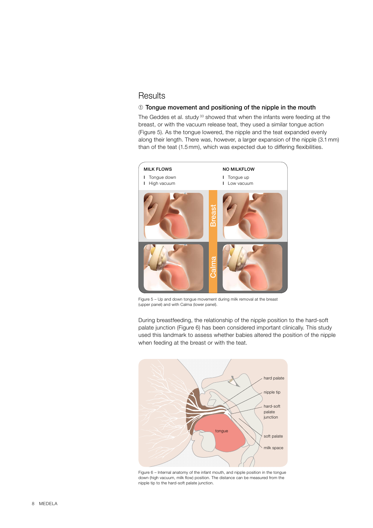### **Results**

### ➀ Tongue movement and positioning of the nipple in the mouth

The Geddes et al. study<sup>33</sup> showed that when the infants were feeding at the breast, or with the vacuum release teat, they used a similar tongue action (Figure 5). As the tongue lowered, the nipple and the teat expanded evenly along their length. There was, however, a larger expansion of the nipple (3.1 mm) than of the teat (1.5 mm), which was expected due to differing flexibilities.



Figure 5 – Up and down tongue movement during milk removal at the breast (upper panel) and with Calma (lower panel).

During breastfeeding, the relationship of the nipple position to the hard-soft palate junction (Figure 6) has been considered important clinically. This study used this landmark to assess whether babies altered the position of the nipple when feeding at the breast or with the teat.



Figure 6 – Internal anatomy of the infant mouth, and nipple position in the tongue down (high vacuum, milk flow) position. The distance can be measured from the nipple tip to the hard-soft palate junction.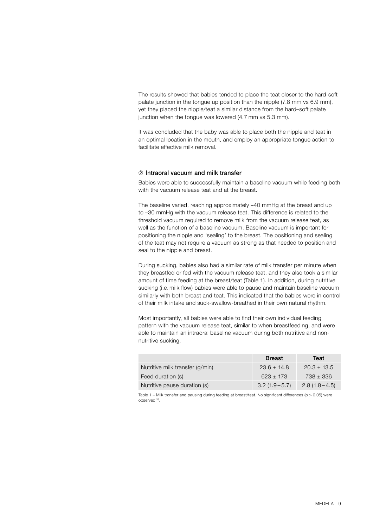The results showed that babies tended to place the teat closer to the hard-soft palate junction in the tongue up position than the nipple (7.8 mm vs 6.9 mm), yet they placed the nipple/teat a similar distance from the hard–soft palate junction when the tongue was lowered (4.7 mm vs 5.3 mm).

It was concluded that the baby was able to place both the nipple and teat in an optimal location in the mouth, and employ an appropriate tongue action to facilitate effective milk removal.

### ➁ Intraoral vacuum and milk transfer

Babies were able to successfully maintain a baseline vacuum while feeding both with the vacuum release teat and at the breast.

The baseline varied, reaching approximately –40 mmHg at the breast and up to –30 mmHg with the vacuum release teat. This difference is related to the threshold vacuum required to remove milk from the vacuum release teat, as well as the function of a baseline vacuum. Baseline vacuum is important for positioning the nipple and 'sealing' to the breast. The positioning and sealing of the teat may not require a vacuum as strong as that needed to position and seal to the nipple and breast.

During sucking, babies also had a similar rate of milk transfer per minute when they breastfed or fed with the vacuum release teat, and they also took a similar amount of time feeding at the breast/teat (Table 1). In addition, during nutritive sucking (i.e. milk flow) babies were able to pause and maintain baseline vacuum similarly with both breast and teat. This indicated that the babies were in control of their milk intake and suck-swallow-breathed in their own natural rhythm.

Most importantly, all babies were able to find their own individual feeding pattern with the vacuum release teat, similar to when breastfeeding, and were able to maintain an intraoral baseline vacuum during both nutritive and nonnutritive sucking.

|                                 | <b>Breast</b>    | Teat             |
|---------------------------------|------------------|------------------|
| Nutritive milk transfer (g/min) | $23.6 \pm 14.8$  | $20.3 \pm 13.5$  |
| Feed duration (s)               | $623 \pm 173$    | 738 ± 336        |
| Nutritive pause duration (s)    | $3.2(1.9 - 5.7)$ | $2.8(1.8 - 4.5)$ |

Table 1 – Milk transfer and pausing during feeding at breast/teat. No significant differences (p > 0.05) were observed 33.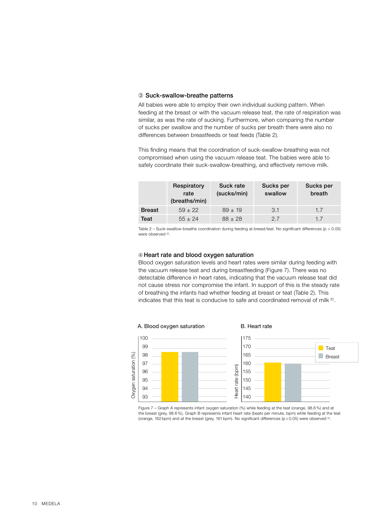### ➂ Suck-swallow-breathe patterns

All babies were able to employ their own individual sucking pattern. When feeding at the breast or with the vacuum release teat, the rate of respiration was similar, as was the rate of sucking. Furthermore, when comparing the number of sucks per swallow and the number of sucks per breath there were also no differences between breastfeeds or teat feeds (Table 2).

This finding means that the coordination of suck-swallow-breathing was not compromised when using the vacuum release teat. The babies were able to safely coordinate their suck-swallow-breathing, and effectively remove milk.

|               | Respiratory<br>rate<br>(breaths/min) | Suck rate<br>(sucks/min) | Sucks per<br>swallow | Sucks per<br>breath |
|---------------|--------------------------------------|--------------------------|----------------------|---------------------|
| <b>Breast</b> | $59 \pm 22$                          | $89 \pm 19$              | 3.1                  | 1.7                 |
| Teat          | $55 \pm 24$                          | $88 \pm 28$              | 27                   | 1.7                 |

Table 2 – Suck-swallow-breathe coordination during feeding at breast/teat. No significant differences (p > 0.05) were observed 32.

### ➃Heart rate and blood oxygen saturation

Blood oxygen saturation levels and heart rates were similar during feeding with the vacuum release teat and during breastfeeding (Figure 7). There was no detectable difference in heart rates, indicating that the vacuum release teat did not cause stress nor compromise the infant. In support of this is the steady rate of breathing the infants had whether feeding at breast or teat (Table 2). This indicates that this teat is conducive to safe and coordinated removal of milk 32.



Figure 7 – Graph A represents infant oxygen saturation (%) while feeding at the teat (orange, 98.6 %) and at the breast (grey, 98.6 %). Graph B represents infant heart rate (beats per minute, bpm) while feeding at the teat (orange, 162 bpm) and at the breast (grey, 161 bpm). No significant differences (p > 0.05) were observed <sup>32</sup>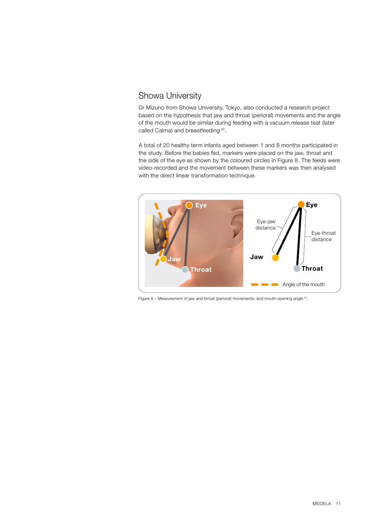## Showa University

Dr Mizuno from Showa University, Tokyo, also conducted a research project based on the hypothesis that jaw and throat (perioral) movements and the angle of the mouth would be similar during feeding with a vacuum release teat (later called Calma) and breastfeeding 34.

A total of 20 healthy term infants aged between 1 and 8 months participated in the study. Before the babies fed, markers were placed on the jaw, throat and the side of the eye as shown by the coloured circles in Figure 8. The feeds were video-recorded and the movement between these markers was then analysed with the direct linear transformation technique.



Figure 8 – Measurement of jaw and throat (perioral) movements, and mouth opening angle 34.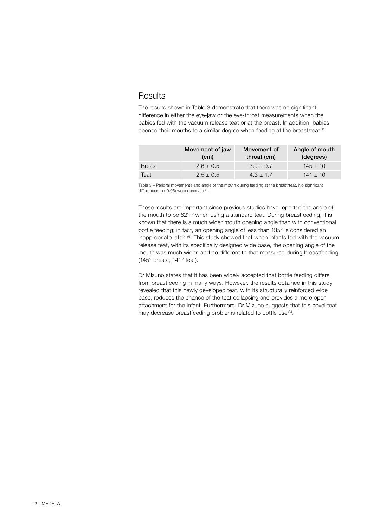### **Results**

The results shown in Table 3 demonstrate that there was no significant difference in either the eye-jaw or the eye-throat measurements when the babies fed with the vacuum release teat or at the breast. In addition, babies opened their mouths to a similar degree when feeding at the breast/teat 34.

|               | Movement of jaw<br>(c <sub>m</sub> ) | Movement of<br>throat (cm) | Angle of mouth<br>(degrees) |
|---------------|--------------------------------------|----------------------------|-----------------------------|
| <b>Breast</b> | $2.6 \pm 0.5$                        | $3.9 \pm 0.7$              | $145 \pm 10$                |
| Teat          | $2.5 \pm 0.5$                        | $4.3 \pm 1.7$              | $141 \pm 10$                |

Table 3 – Perioral movements and angle of the mouth during feeding at the breast/teat. No significant differences ( $p > 0.05$ ) were observed  $34$ 

These results are important since previous studies have reported the angle of the mouth to be 62° 35 when using a standard teat. During breastfeeding, it is known that there is a much wider mouth opening angle than with conventional bottle feeding; in fact, an opening angle of less than 135° is considered an inappropriate latch 36. This study showed that when infants fed with the vacuum release teat, with its specifically designed wide base, the opening angle of the mouth was much wider, and no different to that measured during breastfeeding (145° breast, 141° teat).

Dr Mizuno states that it has been widely accepted that bottle feeding differs from breastfeeding in many ways. However, the results obtained in this study revealed that this newly developed teat, with its structurally reinforced wide base, reduces the chance of the teat collapsing and provides a more open attachment for the infant. Furthermore, Dr Mizuno suggests that this novel teat may decrease breastfeeding problems related to bottle use <sup>34</sup>.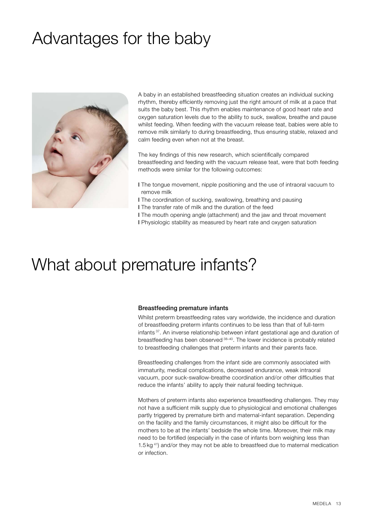# Advantages for the baby



A baby in an established breastfeeding situation creates an individual sucking rhythm, thereby efficiently removing just the right amount of milk at a pace that suits the baby best. This rhythm enables maintenance of good heart rate and oxygen saturation levels due to the ability to suck, swallow, breathe and pause whilst feeding. When feeding with the vacuum release teat, babies were able to remove milk similarly to during breastfeeding, thus ensuring stable, relaxed and calm feeding even when not at the breast.

The key findings of this new research, which scientifically compared breastfeeding and feeding with the vacuum release teat, were that both feeding methods were similar for the following outcomes:

- l The tongue movement, nipple positioning and the use of intraoral vacuum to remove milk
- l The coordination of sucking, swallowing, breathing and pausing
- l The transfer rate of milk and the duration of the feed
- l The mouth opening angle (attachment) and the jaw and throat movement l Physiologic stability as measured by heart rate and oxygen saturation

## What about premature infants?

### Breastfeeding premature infants

Whilst preterm breastfeeding rates vary worldwide, the incidence and duration of breastfeeding preterm infants continues to be less than that of full-term infants 37. An inverse relationship between infant gestational age and duration of breastfeeding has been observed 38-40. The lower incidence is probably related to breastfeeding challenges that preterm infants and their parents face.

Breastfeeding challenges from the infant side are commonly associated with immaturity, medical complications, decreased endurance, weak intraoral vacuum, poor suck-swallow-breathe coordination and/or other difficulties that reduce the infants' ability to apply their natural feeding technique.

Mothers of preterm infants also experience breastfeeding challenges. They may not have a sufficient milk supply due to physiological and emotional challenges partly triggered by premature birth and maternal-infant separation. Depending on the facility and the family circumstances, it might also be difficult for the mothers to be at the infants' bedside the whole time. Moreover, their milk may need to be fortified (especially in the case of infants born weighing less than 1.5 kg 41) and/or they may not be able to breastfeed due to maternal medication or infection.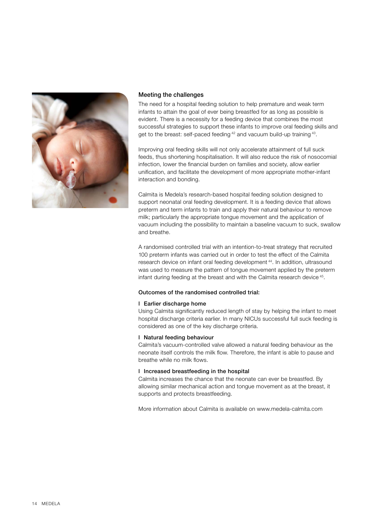

### Meeting the challenges

The need for a hospital feeding solution to help premature and weak term infants to attain the goal of ever being breastfed for as long as possible is evident. There is a necessity for a feeding device that combines the most successful strategies to support these infants to improve oral feeding skills and get to the breast: self-paced feeding <sup>42</sup> and vacuum build-up training <sup>43</sup>.

Improving oral feeding skills will not only accelerate attainment of full suck feeds, thus shortening hospitalisation. It will also reduce the risk of nosocomial infection, lower the financial burden on families and society, allow earlier unification, and facilitate the development of more appropriate mother-infant interaction and bonding.

Calmita is Medela's research-based hospital feeding solution designed to support neonatal oral feeding development. It is a feeding device that allows preterm and term infants to train and apply their natural behaviour to remove milk; particularly the appropriate tongue movement and the application of vacuum including the possibility to maintain a baseline vacuum to suck, swallow and breathe.

A randomised controlled trial with an intention-to-treat strategy that recruited 100 preterm infants was carried out in order to test the effect of the Calmita research device on infant oral feeding development 44. In addition, ultrasound was used to measure the pattern of tongue movement applied by the preterm infant during feeding at the breast and with the Calmita research device <sup>45</sup>.

### Outcomes of the randomised controlled trial:

### l Earlier discharge home

Using Calmita significantly reduced length of stay by helping the infant to meet hospital discharge criteria earlier. In many NICUs successful full suck feeding is considered as one of the key discharge criteria.

### l Natural feeding behaviour

Calmita's vacuum-controlled valve allowed a natural feeding behaviour as the neonate itself controls the milk flow. Therefore, the infant is able to pause and breathe while no milk flows.

### l Increased breastfeeding in the hospital

Calmita increases the chance that the neonate can ever be breastfed. By allowing similar mechanical action and tongue movement as at the breast, it supports and protects breastfeeding.

More information about Calmita is available on www.medela-calmita.com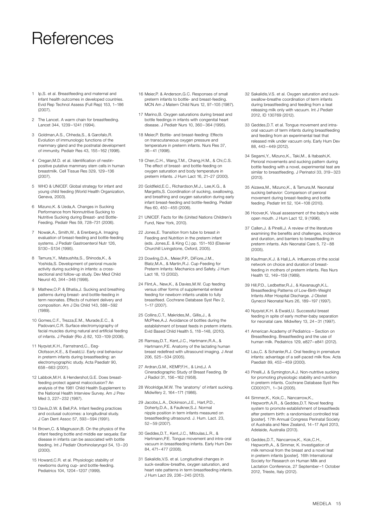## References

- 1 Ip,S. et al. Breastfeeding and maternal and infant health outcomes in developed countries. Evid Rep Technol Assess (Full Rep) 153, 1–186 (2007).
- 2 The Lancet. A warm chain for breastfeeding. Lancet 344, 1239 –1241 (1994).
- 3 Goldman,A.S., Chheda,S., & Garofalo,R. Evolution of immunologic functions of the mammary gland and the postnatal development of immunity. Pediatr Res 43, 155 –162 (1998).
- 4 Cregan,M.D. et al. Identification of nestinpositive putative mammary stem cells in human breastmilk. Cell Tissue Res 329, 129 –136 (2007).
- 5 WHO & UNICEF. Global strategy for infant and young child feeding (World Health Organization, Geneva, 2003).
- 6 Mizuno,K. & Ueda,A. Changes in Sucking Performance from Nonnutritive Sucking to Nutritive Sucking during Breast- and Bottle-Feeding. Pediatr Res 59, 728–731 (2006).
- 7 Nowak,A., Smith,W., & Erenberg,A. Imaging evaluation of breast-feeding and bottle-feeding systems. J Pediatr Gastroenterol Nutr 126, S130 – S134 (1995).
- 8 Tamura,Y., Matsushita,S., Shinoda,K., & Yoshida,S. Development of perioral muscle activity during suckling in infants: a crosssectional and follow-up study. Dev Med Child Neurol 40, 344 – 348 (1998).
- 9 Mathew,O.P. & Bhatia,J. Sucking and breathing patterns during breast- and bottle-feeding in term neonates. Effects of nutrient delivery and composition. Am J Dis Child 143, 588 – 592 (1989).
- 10 Gomes,C.F., Trezza,E.M., Murade,E.C., & Padovani,C.R. Surface electromyography of facial muscles during natural and artificial feeding of infants. J Pediatr (Rio J) 82, 103 –109 (2006).
- 11 Nyqvist,K.H., Farnstrand,C., Eeg-Olofsson,K.E., & Ewald,U. Early oral behaviour in preterm infants during breastfeeding: an electromyographic study. Acta Paediatr 90, 658 – 663 (2001).
- 12 Labbok,M.H. & Hendershot,G.E. Does breastfeeding protect against malocclusion? An analysis of the 1981 Child Health Supplement to the National Health Interview Survey. Am J Prev Med 3, 227– 232 (1987).
- 13 Davis,D.W. & Bell,P.A. Infant feeding practices and occlusal outcomes: a longitudinal study. J Can Dent Assoc 57, 593 – 594 (1991).
- 14 Brown,C. & Magnuson,B. On the physics of the infant feeding bottle and middle ear sequela: Ear disease in infants can be associated with bottle feeding. Int J Pediatr Otorhinolaryngol 54, 13 – 20 (2000).
- 15 Howard,C.R. et al. Physiologic stability of newborns during cup- and bottle-feeding. Pediatrics 104, 1204 –1207 (1999).
- 16 Meier,P. & Anderson,G.C. Responses of small preterm infants to bottle- and breast-feeding. MCN Am J Matern Child Nurs 12, 97–105 (1987).
- 17 Marino,B. Oxygen saturations during breast and bottle feedings in infants with congenital heart disease. J Pediatr Nurs 10, 360 – 364 (1995).
- 18 Meier,P. Bottle- and breast-feeding: Effects on transcutaneous oxygen pressure and temperature in preterm infants. Nurs Res 37, 36 – 41 (1998).
- 19 Chen,C.H., Wang,T.M., Chang,H.M., & Chi,C.S. The effect of breast- and bottle-feeding on oxygen saturation and body temperature in preterm infants. J Hum Lact 16, 21–27 (2000).
- 20 Goldfield,E.C., Richardson,M.J., Lee,K.G., & Margetts,S. Coordination of sucking, swallowing, and breathing and oxygen saturation during early infant breast-feeding and bottle-feeding. Pediatr Res 60, 450 – 455 (2006).
- 21 UNICEF. Facts for life (United Nations Children's Fund, New York, 2010).
- 22 Jones,E. Transition from tube to breast in Feeding and Nutrition in the preterm infant (eds. Jones,E. & King C.) pp. 151–163 (Elsevier Churchill Livingstone, Oxford, 2005).
- 23 Dowling,D.A., Meier,P.P., DiFiore,J.M., Blatz,M.A., & Martin,R.J. Cup-Feeding for Preterm Infants: Mechanics and Safety. J Hum Lact 18, 13 (2002).
- 24 Flint,A., New,K., & Davies,M.W. Cup feeding versus other forms of supplemental enteral feeding for newborn infants unable to fully breastfeed. Cochrane Database Syst Rev 2, 1–17 (2007).
- 25 Collins,C.T., Makrides,M., Gillis,J., & McPhee,A.J. Avoidance of bottles during the establishment of breast feeds in preterm infants. Evid Based Child Health 5, 118 –148, (2010).
- 26 Ramsay,D.T., Kent,J.C., Hartmann,R.A., & Hartmann,P.E. Anatomy of the lactating human breast redefined with ultrasound imaging. J Anat 206, 525 – 534 (2005).
- 27 Ardran,G.M., KEMP,F.H., & Lind,J. A Cineradiographic Study of Breast Feeding. Br J Radiol 31, 156 –162 (1958).
- 28 Woolridge,M.W. The 'anatomy' of infant sucking. Midwifery 2, 164 –171 (1986).
- 29 Jacobs,L.A., Dickinson,J.E., Hart,P.D., Doherty,D.A., & Faulkner,S.J. Normal nipple position in term infants measured on breastfeeding ultrasound. J. Hum. Lact. 23, 52 – 59 (2007).
- 30 Geddes,D.T., Kent,J.C., Mitoulas,L.R., & Hartmann,P.E. Tongue movement and intra-oral vacuum in breastfeeding infants. Early Hum Dev 84, 471– 477 (2008).
- 31 Sakalidis,V.S. et al. Longitudinal changes in suck-swallow-breathe, oxygen saturation, and heart rate patterns in term breastfeeding infants. J Hum Lact 29, 236 – 245 (2013).
- 32 Sakalidis,V.S. et al. Oxygen saturation and suckswallow-breathe coordination of term infants during breastfeeding and feeding from a teat releasing milk only with vacuum. Int J Pediatr 2012, ID 130769 (2012).
- 33 Geddes,D.T. et al. Tongue movement and intraoral vacuum of term infants during breastfeeding and feeding from an experimental teat that released milk under vacuum only. Early Hum Dev 88, 443 – 449 (2012).
- 34 Segami,Y., Mizuno,K., Taki,M., & Itabashi,K. Perioral movements and sucking pattern during bottle feeding with a novel, experimental teat are similar to breastfeeding. J Perinatol 33, 319 – 323 (2013).
- 35 Aizawa,M., Mizuno,K., & Tamura,M. Neonatal sucking behavior: Comparison of perioral movement during breast-feeding and bottle feeding. Pediatr Int 52, 104 –108 (2010).
- 36 Hoover,K. Visual assessment of the baby's wide open mouth. J Hum Lact 12, 9 (1996).
- 37 Callen,J. & Pinelli,J. A review of the literature examining the benefits and challenges, incidence and duration, and barriers to breastfeeding in preterm infants. Adv Neonatal Care 5, 72 – 88 (2005).
- 38 Kaufman K.J. & Hall L.A. Influences of the social network on choice and duration of breastfeeding in mothers of preterm infants. Res Nurs Health 12, 149-159 (1989).
- 39 Hill,P.D., Ledbetter,R.J., & Kavanaugh,K.L. Breastfeeding Patterns of Low-Birth-Weight Infants After Hospital Discharge. J Obstet Gynecol Neonatal Nurs 26, 189 –197 (1997).
- 40 Nyqvist,K.H. & Ewald,U. Successful breast feeding in spite of early mother-baby separation for neonatal care. Midwifery 13, 24 – 31 (1997).
- 41 American Academy of Pediatrics Section on Breastfeeding. Breastfeeding and the use of human milk. Pediatrics 129, e827– e841 (2012).
- 42 Lau,C. & Schanler,R.J. Oral feeding in premature infants: advantage of a self-paced milk flow. Acta Paediatr 89, 453 – 459 (2000).
- 43 Pinelli,J. & Symington,A.J. Non-nutritive sucking for promoting physiologic stability and nutrition in preterm infants. Cochrane Database Syst Rev CD001071, 1– 34 (2005).
- 44 Simmer,K., Kok,C., Nancarrow,K., Hepworth,A.R., & Geddes,D.T. Novel feeding system to promote establishment of breastfeeds after preterm birth: a randomised controlled trial [poster]. 17th Annual Congress Perinatal Society of Australia and New Zealand, 14 –17 April 2013, Adelaide, Australia (2013).
- 45 Geddes,D.T., Nancarrow,K., Kok,C.H., Hepworth,A., & Simmer, K. Investigation of milk removal from the breast and a novel teat in preterm infants [poster]. 16th International Society for Research on Human Milk and Lactation Conference, 27 September –1 October 2012, Trieste, Italy (2012).